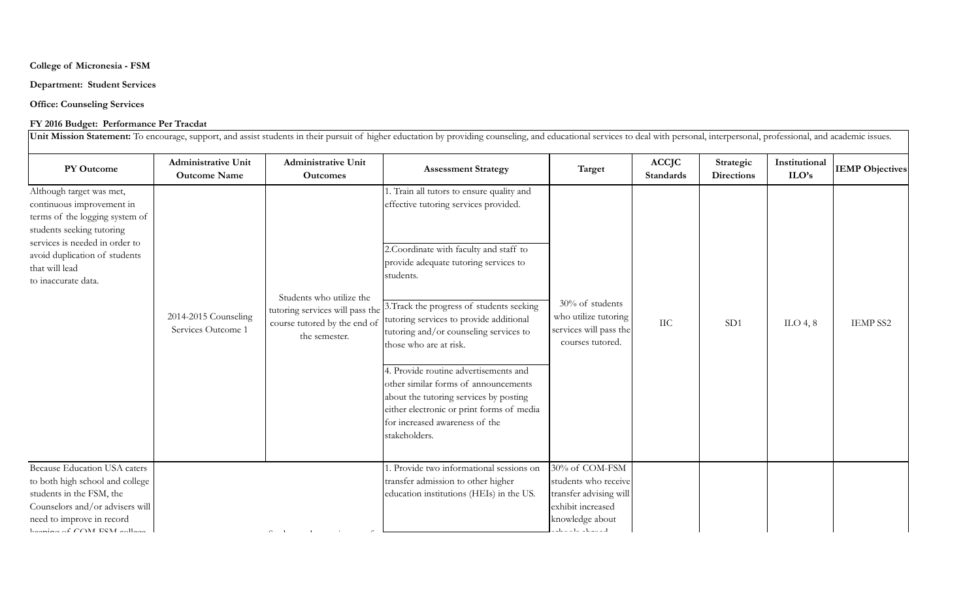### **College of Micronesia - FSM**

## **Department: Student Services**

**Office: Counseling Services**

## **FY 2016 Budget: Performance Per Tracdat**

**PY Outcome Administrative Unit Outcome Name Administrative Unit Outcomes Assessment Strategy Target ACCJC Standards Strategic Directions Institutional ILO's IEMP** Objectives 1. Train all tutors to ensure quality and effective tutoring services provided. 2.Coordinate with faculty and staff to provide adequate tutoring services to students. 3.Track the progress of students seeking tutoring services to provide additional tutoring and/or counseling services to those who are at risk. 4. Provide routine advertisements and other similar forms of announcements about the tutoring services by posting either electronic or print forms of media for increased awareness of the stakeholders. 1. Provide two informational sessions on transfer admission to other higher education institutions (HEIs) in the US. 30% of COM-FSM students who receive transfer advising will exhibit increased knowledge about schools abroad.  $\sigma_{\rm s}$  transfer transfer transfer transfer Because Education USA caters to both high school and college students in the FSM, the Counselors and/or advisers will need to improve in record  $k$ eeping of  $COM$  FSM college Although target was met, continuous improvement in terms of the logging system of students seeking tutoring services is needed in order to avoid duplication of students that will lead to inaccurate data. Unit Mission Statement: To encourage, support, and assist students in their pursuit of higher eductation by providing counseling, and educational services to deal with personal, interpersonal, professional, and academic is 2014-2015 Counseling Services Outcome 1 Students who utilize the tutoring services will pass the course tutored by the end of the semester. 30% of students who utilize tutoring services will pass the courses tutored.  $\text{IIC}$  | SD1 | ILO 4, 8 | IEMP SS2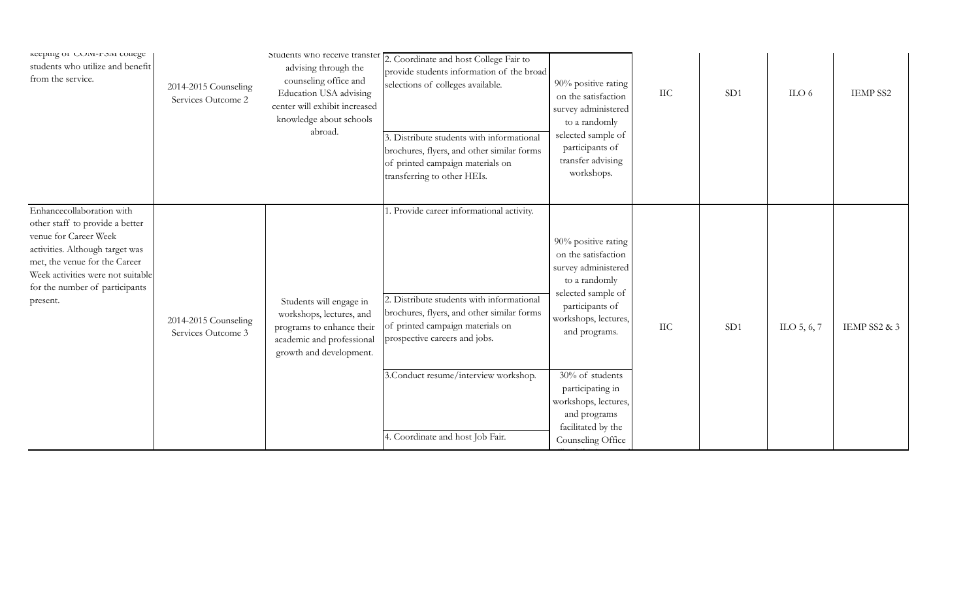| кеерing or COM-F5M conege<br>students who utilize and benefit<br>from the service.                                                                                                                                                           | 2014-2015 Counseling<br>Services Outcome 2 | advising through the<br>counseling office and<br>Education USA advising<br>center will exhibit increased<br>knowledge about schools<br>abroad. | Students who receive transfer $\boxed{2}$ . Coordinate and host College Fair to<br>provide students information of the broad<br>selections of colleges available.<br>3. Distribute students with informational<br>brochures, flyers, and other similar forms<br>of printed campaign materials on<br>transferring to other HEIs. | 90% positive rating<br>on the satisfaction<br>survey administered<br>to a randomly<br>selected sample of<br>participants of<br>transfer advising<br>workshops.       | IIC       | SD1 | ILO $6$     | <b>IEMP SS2</b> |
|----------------------------------------------------------------------------------------------------------------------------------------------------------------------------------------------------------------------------------------------|--------------------------------------------|------------------------------------------------------------------------------------------------------------------------------------------------|---------------------------------------------------------------------------------------------------------------------------------------------------------------------------------------------------------------------------------------------------------------------------------------------------------------------------------|----------------------------------------------------------------------------------------------------------------------------------------------------------------------|-----------|-----|-------------|-----------------|
| Enhancecollaboration with<br>other staff to provide a better<br>venue for Career Week<br>activities. Although target was<br>met, the venue for the Career<br>Week activities were not suitable<br>for the number of participants<br>present. | 2014-2015 Counseling<br>Services Outcome 3 | Students will engage in<br>workshops, lectures, and<br>programs to enhance their<br>academic and professional<br>growth and development.       | . Provide career informational activity.<br>2. Distribute students with informational<br>brochures, flyers, and other similar forms<br>of printed campaign materials on<br>prospective careers and jobs.                                                                                                                        | 90% positive rating<br>on the satisfaction<br>survey administered<br>to a randomly<br>selected sample of<br>participants of<br>workshops, lectures,<br>and programs. | $\rm IIC$ | SD1 | ILO 5, 6, 7 | IEMP SS2 & 3    |
|                                                                                                                                                                                                                                              |                                            |                                                                                                                                                | 3. Conduct resume/interview workshop.<br>4. Coordinate and host Job Fair.                                                                                                                                                                                                                                                       | 30% of students<br>participating in<br>workshops, lectures,<br>and programs<br>facilitated by the<br>Counseling Office                                               |           |     |             |                 |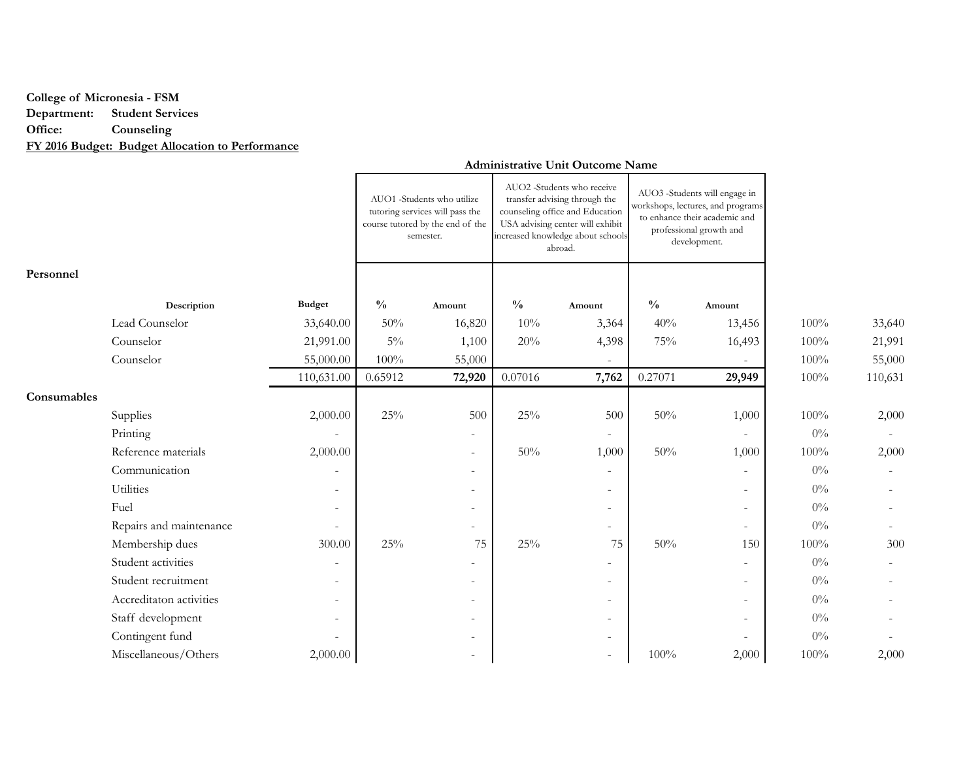# **College of Micronesia - FSM Department: Student Services Office: Counseling FY 2016 Budget: Budget Allocation to Performance**

### **Personnel Description Budget % Amount % Amount % Amount** Lead Counselor 33,640.00 50% 16,820 10% 3,364 40% 13,456 100% 33,640 Counselor 21,991.00 5% 1,100 20% 4,398 75% 16,493 100% 21,991 Counselor 55,000.00 100% 55,000 55,000 - - 100% 55,000 110,631.00 0.65912 **72,920** 0.07016 **7,762** 0.27071 **29,949** 100% 110,631 **Consumables** Supplies 2,000.00 25% 500 25% 500 50% 1,000 100% 2,000 Printing - - - - 0% - Reference materials 2,000.00 | CMP =  $\begin{array}{|c|c|c|c|c|c|c|c|c|} \hline \end{array}$  50% 1,000 | 1,000 | 100% 2,000 |  $\text{Commutation}$  - - - - - - - - - - - - - 0% -Utilities - - - - 0% - Fuel - - - - 0% - Repairs and maintenance  $\qquad - \qquad - \qquad - \qquad - \qquad - \qquad - \qquad - \qquad - \qquad 0\%$ Membership dues 300.00 25% 75 25% 75 50% 150 100% 300 Student activities **Student activities - 1** - 1 - 1 - 1 - 1 - 1 - 1 - 1 - 1 - 0% -Student recruitment  $\qquad \qquad \qquad \qquad \qquad \qquad \qquad \qquad \qquad \qquad \qquad \qquad \qquad \qquad \qquad \qquad -$ Accreditaton activities - - - - 0% - Staff development - - - - - - - - - - - - - - - - - - 0% Contingent fund  $\qquad \qquad \qquad \qquad \qquad \qquad \qquad \qquad \qquad \qquad \qquad \qquad \qquad \qquad -$ Miscellaneous/Others 2,000.00 - - 100% 2,000 100% 2,000 2,000 2,000 2,000 2,000 2,000 2,000 2,000 2,000 100% 2,000 2,000 2,000 2,000 2,000 2,000 2,000 2,000 2,000 2,000 2,000 2,000 2,000 2,000 2,000 2,000 2,000 2,000 2,000 AUO1 -Students who utilize tutoring services will pass the course tutored by the end of the semester. AUO2 -Students who receive transfer advising through the counseling office and Education USA advising center will exhibit increased knowledge about schools abroad. AUO3 -Students will engage in workshops, lectures, and programs to enhance their academic and professional growth and development.

### **Administrative Unit Outcome Name**